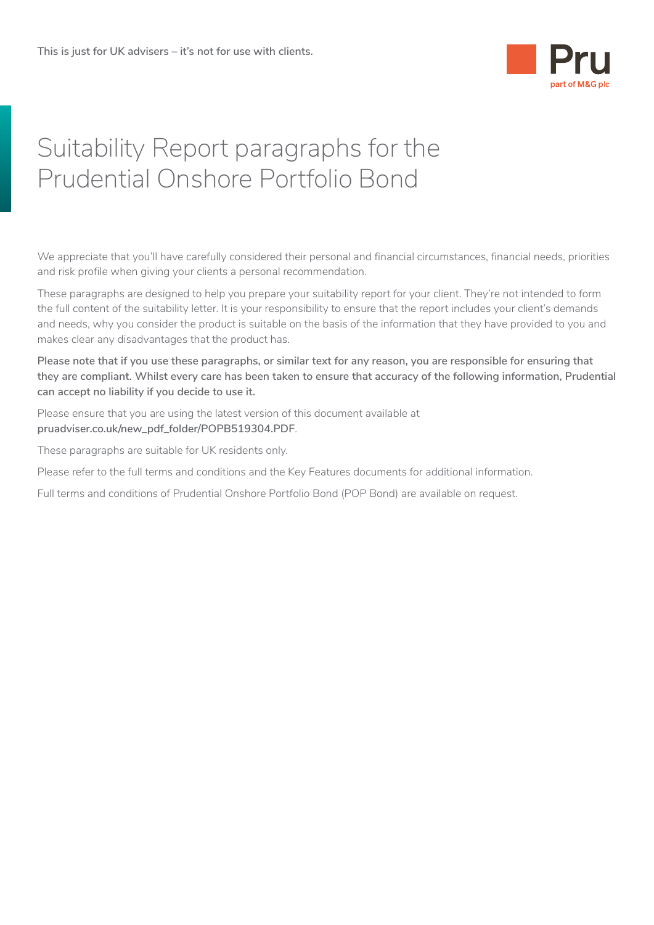

# Suitability Report paragraphs for the Prudential Onshore Portfolio Bond

We appreciate that you'll have carefully considered their personal and financial circumstances, financial needs, priorities and risk profile when giving your clients a personal recommendation.

These paragraphs are designed to help you prepare your suitability report for your client. They're not intended to form the full content of the suitability letter. It is your responsibility to ensure that the report includes your client's demands and needs, why you consider the product is suitable on the basis of the information that they have provided to you and makes clear any disadvantages that the product has.

**Please note that if you use these paragraphs, or similar text for any reason, you are responsible for ensuring that they are compliant. Whilst every care has been taken to ensure that accuracy of the following information, Prudential can accept no liability if you decide to use it.** 

Please ensure that you are using the latest version of this document available at **[pruadviser.co.uk/new\\_pdf\\_folder/POPB519304.PDF](http://www.pruadviser.co.uk/new_pdf_folder/POPB519304.PDF)**.

These paragraphs are suitable for UK residents only.

Please refer to the full terms and conditions and the Key Features documents for additional information.

Full terms and conditions of Prudential Onshore Portfolio Bond (POP Bond) are available on request.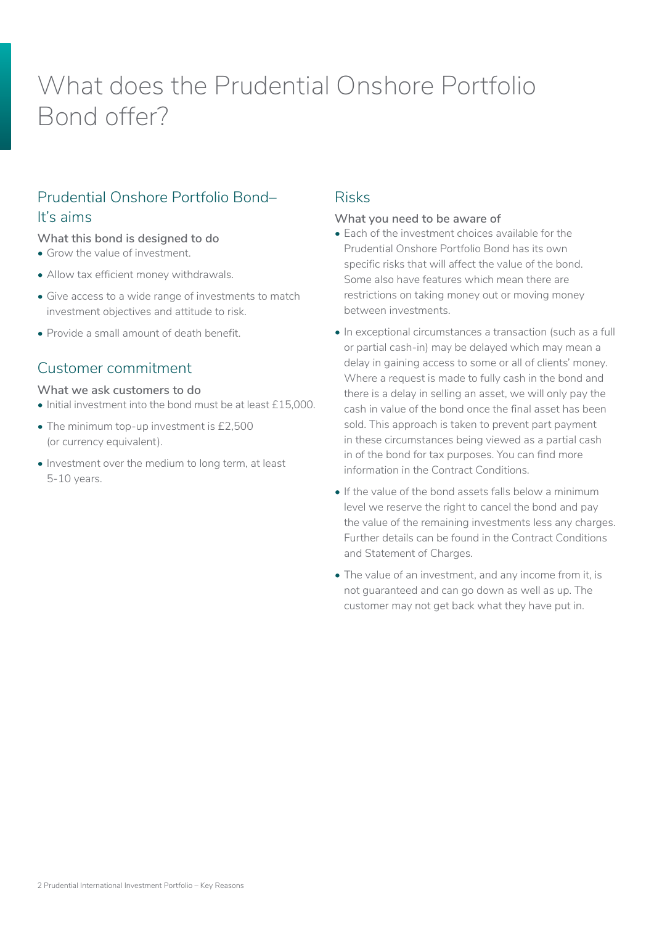# What does the Prudential Onshore Portfolio Bond offer?

# Prudential Onshore Portfolio Bond– It's aims

#### **What this bond is designed to do**

- Grow the value of investment.
- Allow tax efficient money withdrawals.
- Give access to a wide range of investments to match investment objectives and attitude to risk.
- Provide a small amount of death benefit.

## Customer commitment

#### **What we ask customers to do**

- Initial investment into the bond must be at least £15,000.
- The minimum top-up investment is £2,500 (or currency equivalent).
- Investment over the medium to long term, at least 5-10 years.

### Risks

#### **What you need to be aware of**

- Each of the investment choices available for the Prudential Onshore Portfolio Bond has its own specific risks that will affect the value of the bond. Some also have features which mean there are restrictions on taking money out or moving money between investments.
- In exceptional circumstances a transaction (such as a full or partial cash-in) may be delayed which may mean a delay in gaining access to some or all of clients' money. Where a request is made to fully cash in the bond and there is a delay in selling an asset, we will only pay the cash in value of the bond once the final asset has been sold. This approach is taken to prevent part payment in these circumstances being viewed as a partial cash in of the bond for tax purposes. You can find more information in the Contract Conditions.
- If the value of the bond assets falls below a minimum level we reserve the right to cancel the bond and pay the value of the remaining investments less any charges. Further details can be found in the Contract Conditions and Statement of Charges.
- The value of an investment, and any income from it, is not guaranteed and can go down as well as up. The customer may not get back what they have put in.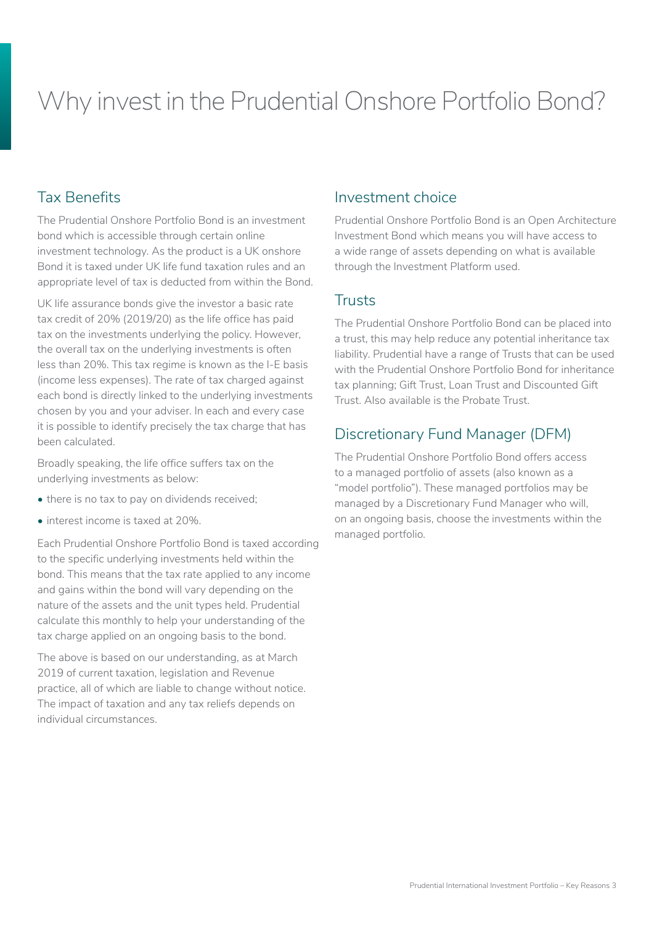# Why invest in the Prudential Onshore Portfolio Bond?

## Tax Benefits

The Prudential Onshore Portfolio Bond is an investment bond which is accessible through certain online investment technology. As the product is a UK onshore Bond it is taxed under UK life fund taxation rules and an appropriate level of tax is deducted from within the Bond.

UK life assurance bonds give the investor a basic rate tax credit of 20% (2019/20) as the life office has paid tax on the investments underlying the policy. However, the overall tax on the underlying investments is often less than 20%. This tax regime is known as the I-E basis (income less expenses). The rate of tax charged against each bond is directly linked to the underlying investments chosen by you and your adviser. In each and every case it is possible to identify precisely the tax charge that has been calculated.

Broadly speaking, the life office suffers tax on the underlying investments as below:

- there is no tax to pay on dividends received;
- interest income is taxed at 20%.

Each Prudential Onshore Portfolio Bond is taxed according to the specific underlying investments held within the bond. This means that the tax rate applied to any income and gains within the bond will vary depending on the nature of the assets and the unit types held. Prudential calculate this monthly to help your understanding of the tax charge applied on an ongoing basis to the bond.

The above is based on our understanding, as at March 2019 of current taxation, legislation and Revenue practice, all of which are liable to change without notice. The impact of taxation and any tax reliefs depends on individual circumstances.

### Investment choice

Prudential Onshore Portfolio Bond is an Open Architecture Investment Bond which means you will have access to a wide range of assets depending on what is available through the Investment Platform used.

### **Trusts**

The Prudential Onshore Portfolio Bond can be placed into a trust, this may help reduce any potential inheritance tax liability. Prudential have a range of Trusts that can be used with the Prudential Onshore Portfolio Bond for inheritance tax planning; Gift Trust, Loan Trust and Discounted Gift Trust. Also available is the Probate Trust.

## Discretionary Fund Manager (DFM)

The Prudential Onshore Portfolio Bond offers access to a managed portfolio of assets (also known as a "model portfolio"). These managed portfolios may be managed by a Discretionary Fund Manager who will, on an ongoing basis, choose the investments within the managed portfolio.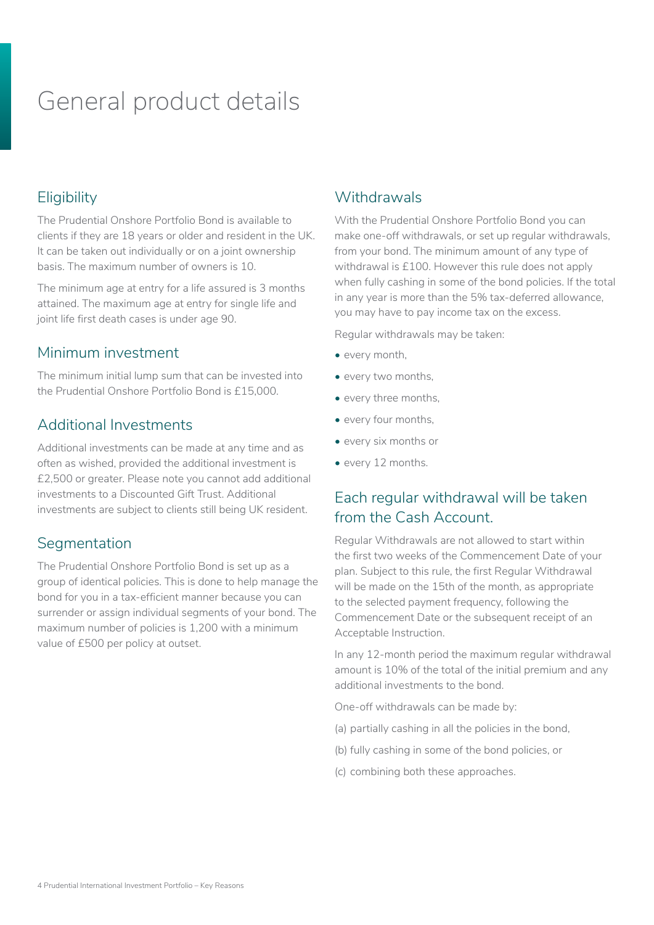# General product details

# **Eligibility**

The Prudential Onshore Portfolio Bond is available to clients if they are 18 years or older and resident in the UK. It can be taken out individually or on a joint ownership basis. The maximum number of owners is 10.

The minimum age at entry for a life assured is 3 months attained. The maximum age at entry for single life and joint life first death cases is under age 90.

### Minimum investment

The minimum initial lump sum that can be invested into the Prudential Onshore Portfolio Bond is £15,000.

## Additional Investments

Additional investments can be made at any time and as often as wished, provided the additional investment is £2,500 or greater. Please note you cannot add additional investments to a Discounted Gift Trust. Additional investments are subject to clients still being UK resident.

## **Segmentation**

The Prudential Onshore Portfolio Bond is set up as a group of identical policies. This is done to help manage the bond for you in a tax-efficient manner because you can surrender or assign individual segments of your bond. The maximum number of policies is 1,200 with a minimum value of £500 per policy at outset.

## **Withdrawals**

With the Prudential Onshore Portfolio Bond you can make one-off withdrawals, or set up regular withdrawals, from your bond. The minimum amount of any type of withdrawal is £100. However this rule does not apply when fully cashing in some of the bond policies. If the total in any year is more than the 5% tax-deferred allowance, you may have to pay income tax on the excess.

Regular withdrawals may be taken:

- every month,
- every two months,
- every three months,
- every four months,
- every six months or
- every 12 months.

## Each regular withdrawal will be taken from the Cash Account.

Regular Withdrawals are not allowed to start within the first two weeks of the Commencement Date of your plan. Subject to this rule, the first Regular Withdrawal will be made on the 15th of the month, as appropriate to the selected payment frequency, following the Commencement Date or the subsequent receipt of an Acceptable Instruction.

In any 12-month period the maximum regular withdrawal amount is 10% of the total of the initial premium and any additional investments to the bond.

One-off withdrawals can be made by:

- (a) partially cashing in all the policies in the bond,
- (b) fully cashing in some of the bond policies, or
- (c) combining both these approaches.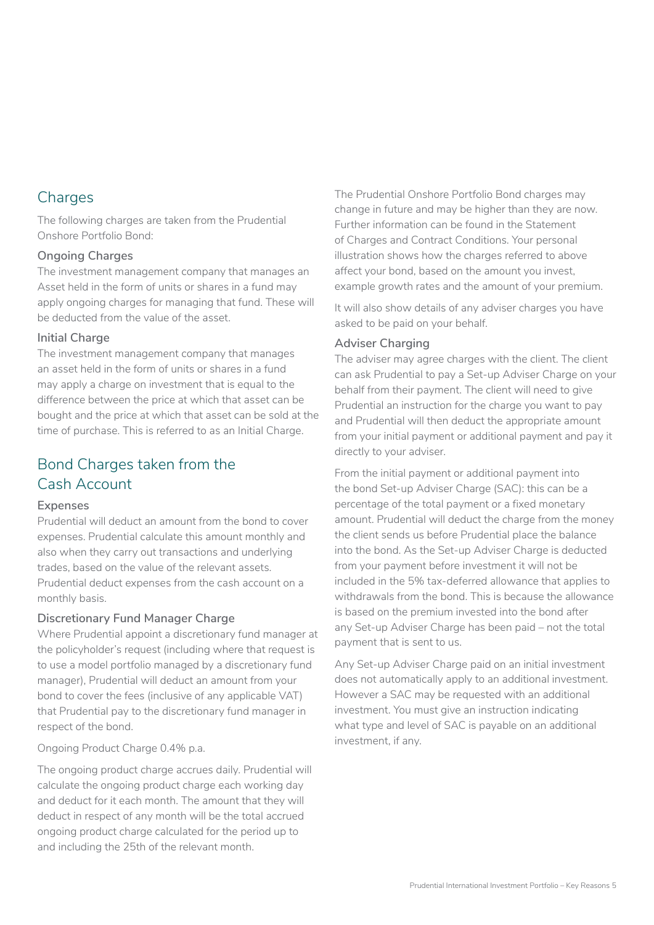## **Charges**

The following charges are taken from the Prudential Onshore Portfolio Bond:

#### **Ongoing Charges**

The investment management company that manages an Asset held in the form of units or shares in a fund may apply ongoing charges for managing that fund. These will be deducted from the value of the asset.

#### **Initial Charge**

The investment management company that manages an asset held in the form of units or shares in a fund may apply a charge on investment that is equal to the difference between the price at which that asset can be bought and the price at which that asset can be sold at the time of purchase. This is referred to as an Initial Charge.

# Bond Charges taken from the Cash Account

#### **Expenses**

Prudential will deduct an amount from the bond to cover expenses. Prudential calculate this amount monthly and also when they carry out transactions and underlying trades, based on the value of the relevant assets. Prudential deduct expenses from the cash account on a monthly basis.

#### **Discretionary Fund Manager Charge**

Where Prudential appoint a discretionary fund manager at the policyholder's request (including where that request is to use a model portfolio managed by a discretionary fund manager), Prudential will deduct an amount from your bond to cover the fees (inclusive of any applicable VAT) that Prudential pay to the discretionary fund manager in respect of the bond.

Ongoing Product Charge 0.4% p.a.

The ongoing product charge accrues daily. Prudential will calculate the ongoing product charge each working day and deduct for it each month. The amount that they will deduct in respect of any month will be the total accrued ongoing product charge calculated for the period up to and including the 25th of the relevant month.

The Prudential Onshore Portfolio Bond charges may change in future and may be higher than they are now. Further information can be found in the Statement of Charges and Contract Conditions. Your personal illustration shows how the charges referred to above affect your bond, based on the amount you invest, example growth rates and the amount of your premium.

It will also show details of any adviser charges you have asked to be paid on your behalf.

#### **Adviser Charging**

The adviser may agree charges with the client. The client can ask Prudential to pay a Set-up Adviser Charge on your behalf from their payment. The client will need to give Prudential an instruction for the charge you want to pay and Prudential will then deduct the appropriate amount from your initial payment or additional payment and pay it directly to your adviser.

From the initial payment or additional payment into the bond Set-up Adviser Charge (SAC): this can be a percentage of the total payment or a fixed monetary amount. Prudential will deduct the charge from the money the client sends us before Prudential place the balance into the bond. As the Set-up Adviser Charge is deducted from your payment before investment it will not be included in the 5% tax-deferred allowance that applies to withdrawals from the bond. This is because the allowance is based on the premium invested into the bond after any Set-up Adviser Charge has been paid – not the total payment that is sent to us.

Any Set-up Adviser Charge paid on an initial investment does not automatically apply to an additional investment. However a SAC may be requested with an additional investment. You must give an instruction indicating what type and level of SAC is payable on an additional investment, if any.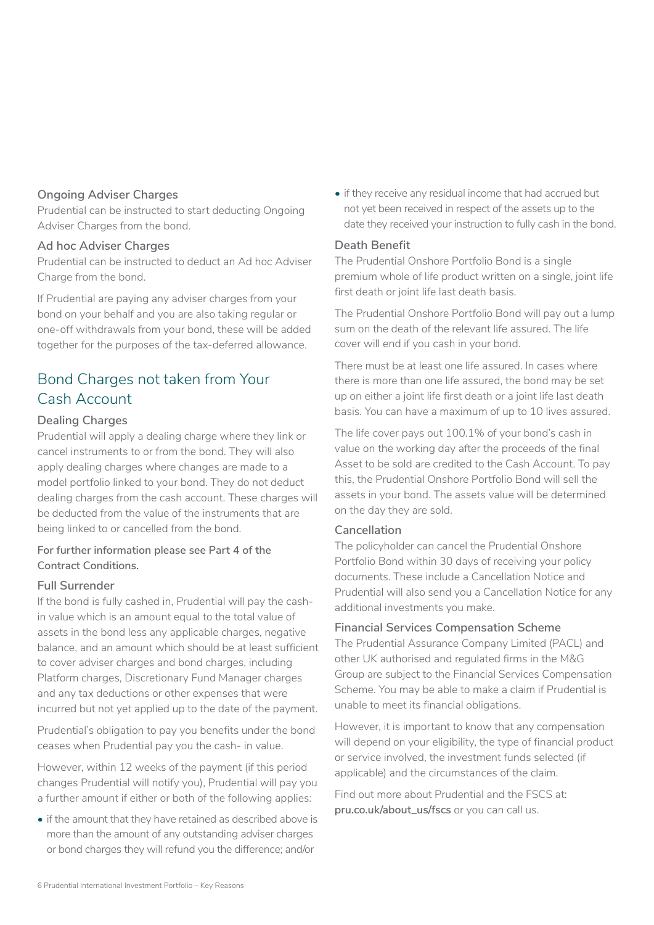#### **Ongoing Adviser Charges**

Prudential can be instructed to start deducting Ongoing Adviser Charges from the bond.

#### **Ad hoc Adviser Charges**

Prudential can be instructed to deduct an Ad hoc Adviser Charge from the bond.

If Prudential are paying any adviser charges from your bond on your behalf and you are also taking regular or one-off withdrawals from your bond, these will be added together for the purposes of the tax-deferred allowance.

# Bond Charges not taken from Your Cash Account

#### **Dealing Charges**

Prudential will apply a dealing charge where they link or cancel instruments to or from the bond. They will also apply dealing charges where changes are made to a model portfolio linked to your bond. They do not deduct dealing charges from the cash account. These charges will be deducted from the value of the instruments that are being linked to or cancelled from the bond.

#### **For further information please see Part 4 of the Contract Conditions.**

#### **Full Surrender**

If the bond is fully cashed in, Prudential will pay the cashin value which is an amount equal to the total value of assets in the bond less any applicable charges, negative balance, and an amount which should be at least sufficient to cover adviser charges and bond charges, including Platform charges, Discretionary Fund Manager charges and any tax deductions or other expenses that were incurred but not yet applied up to the date of the payment.

Prudential's obligation to pay you benefits under the bond ceases when Prudential pay you the cash- in value.

However, within 12 weeks of the payment (if this period changes Prudential will notify you), Prudential will pay you a further amount if either or both of the following applies:

• if the amount that they have retained as described above is more than the amount of any outstanding adviser charges or bond charges they will refund you the difference; and/or

• if they receive any residual income that had accrued but not yet been received in respect of the assets up to the date they received your instruction to fully cash in the bond.

#### **Death Benefit**

The Prudential Onshore Portfolio Bond is a single premium whole of life product written on a single, joint life first death or joint life last death basis.

The Prudential Onshore Portfolio Bond will pay out a lump sum on the death of the relevant life assured. The life cover will end if you cash in your bond.

There must be at least one life assured. In cases where there is more than one life assured, the bond may be set up on either a joint life first death or a joint life last death basis. You can have a maximum of up to 10 lives assured.

The life cover pays out 100.1% of your bond's cash in value on the working day after the proceeds of the final Asset to be sold are credited to the Cash Account. To pay this, the Prudential Onshore Portfolio Bond will sell the assets in your bond. The assets value will be determined on the day they are sold.

#### **Cancellation**

The policyholder can cancel the Prudential Onshore Portfolio Bond within 30 days of receiving your policy documents. These include a Cancellation Notice and Prudential will also send you a Cancellation Notice for any additional investments you make.

#### **Financial Services Compensation Scheme**

The Prudential Assurance Company Limited (PACL) and other UK authorised and regulated firms in the M&G Group are subject to the Financial Services Compensation Scheme. You may be able to make a claim if Prudential is unable to meet its financial obligations.

However, it is important to know that any compensation will depend on your eligibility, the type of financial product or service involved, the investment funds selected (if applicable) and the circumstances of the claim.

Find out more about Prudential and the FSCS at: **[pru.co.uk/about\\_us/fscs](http://www.pru.co.uk/about_us/fscs)** or you can call us.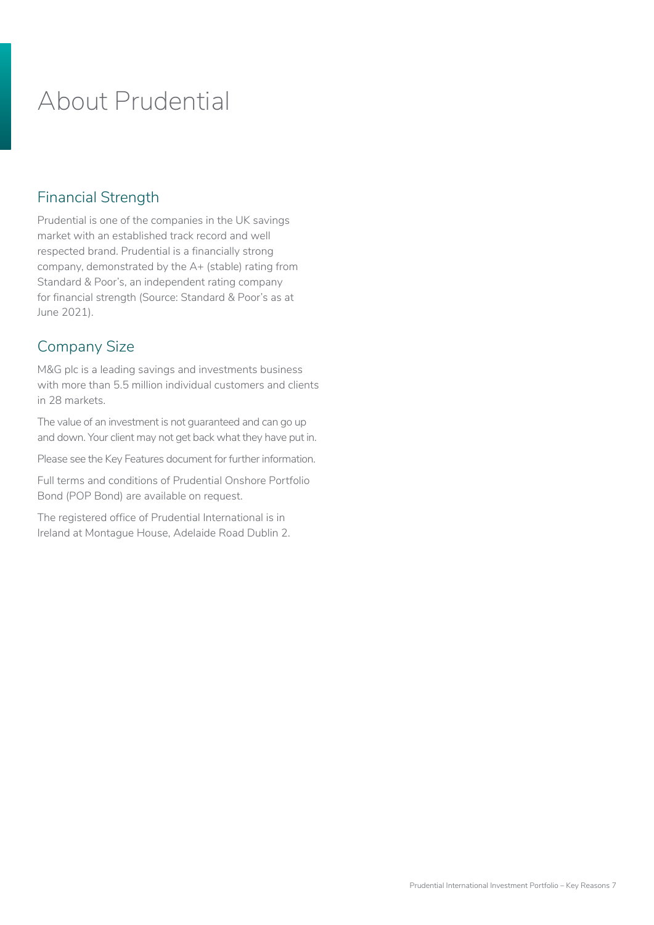# About Prudential

## Financial Strength

Prudential is one of the companies in the UK savings market with an established track record and well respected brand. Prudential is a financially strong company, demonstrated by the A+ (stable) rating from Standard & Poor's, an independent rating company for financial strength (Source: Standard & Poor's as at June 2021).

# Company Size

M&G plc is a leading savings and investments business with more than 5.5 million individual customers and clients in 28 markets.

The value of an investment is not guaranteed and can go up and down. Your client may not get back what they have put in.

Please see the Key Features document for further information.

Full terms and conditions of Prudential Onshore Portfolio Bond (POP Bond) are available on request.

The registered office of Prudential International is in Ireland at Montague House, Adelaide Road Dublin 2.